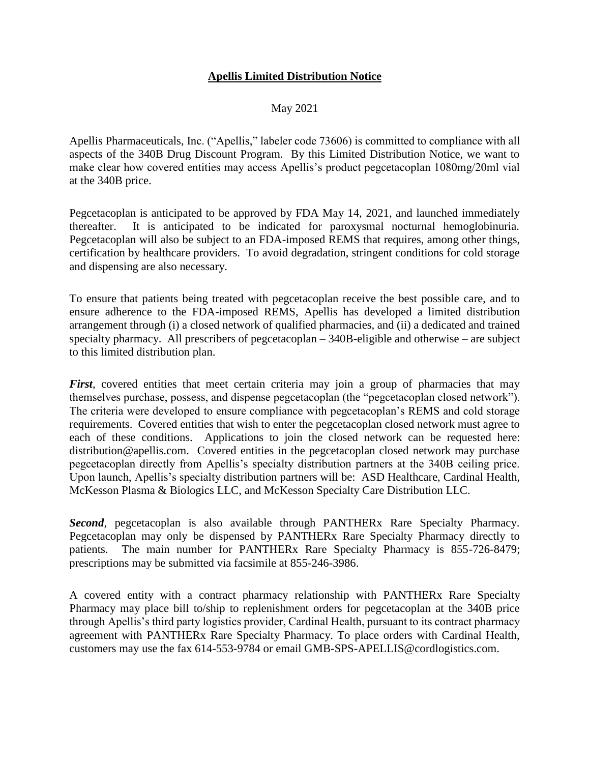## **Apellis Limited Distribution Notice**

## May 2021

Apellis Pharmaceuticals, Inc. ("Apellis," labeler code 73606) is committed to compliance with all aspects of the 340B Drug Discount Program. By this Limited Distribution Notice, we want to make clear how covered entities may access Apellis's product pegcetacoplan 1080mg/20ml vial at the 340B price.

Pegcetacoplan is anticipated to be approved by FDA May 14, 2021, and launched immediately thereafter. It is anticipated to be indicated for paroxysmal nocturnal hemoglobinuria. Pegcetacoplan will also be subject to an FDA-imposed REMS that requires, among other things, certification by healthcare providers. To avoid degradation, stringent conditions for cold storage and dispensing are also necessary.

To ensure that patients being treated with pegcetacoplan receive the best possible care, and to ensure adherence to the FDA-imposed REMS, Apellis has developed a limited distribution arrangement through (i) a closed network of qualified pharmacies, and (ii) a dedicated and trained specialty pharmacy. All prescribers of pegcetacoplan – 340B-eligible and otherwise – are subject to this limited distribution plan.

*First*, covered entities that meet certain criteria may join a group of pharmacies that may themselves purchase, possess, and dispense pegcetacoplan (the "pegcetacoplan closed network"). The criteria were developed to ensure compliance with pegcetacoplan's REMS and cold storage requirements. Covered entities that wish to enter the pegcetacoplan closed network must agree to each of these conditions. Applications to join the closed network can be requested here: distribution@apellis.com. Covered entities in the pegcetacoplan closed network may purchase pegcetacoplan directly from Apellis's specialty distribution partners at the 340B ceiling price. Upon launch, Apellis's specialty distribution partners will be: ASD Healthcare, Cardinal Health, McKesson Plasma & Biologics LLC, and McKesson Specialty Care Distribution LLC.

*Second*, pegcetacoplan is also available through PANTHERx Rare Specialty Pharmacy. Pegcetacoplan may only be dispensed by PANTHERx Rare Specialty Pharmacy directly to patients. The main number for PANTHERx Rare Specialty Pharmacy is 855-726-8479; prescriptions may be submitted via facsimile at 855-246-3986.

A covered entity with a contract pharmacy relationship with PANTHERx Rare Specialty Pharmacy may place bill to/ship to replenishment orders for pegcetacoplan at the 340B price through Apellis's third party logistics provider, Cardinal Health, pursuant to its contract pharmacy agreement with PANTHERx Rare Specialty Pharmacy. To place orders with Cardinal Health, customers may use the fax 614-553-9784 or email GMB-SPS-APELLIS@cordlogistics.com.